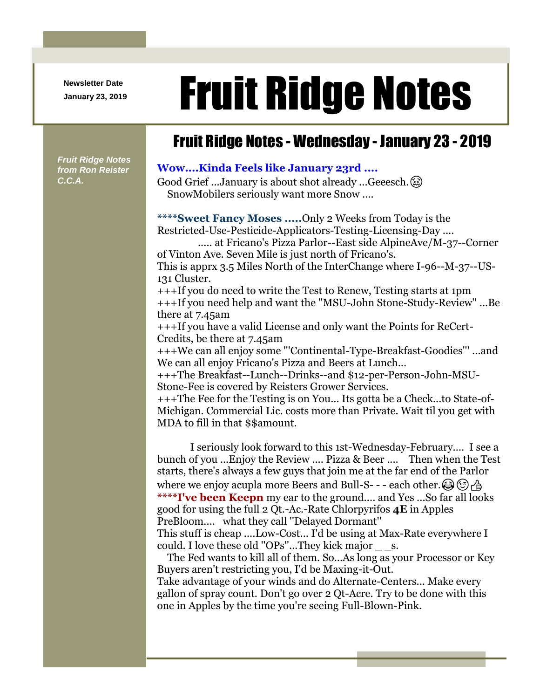**Newsletter Date**

## Newsletter Date **Fruit Ridge Notes**

## Fruit Ridge Notes - Wednesday - January 23 - 2019

*Fruit Ridge Notes from Ron Reister C.C.A.*

## **Wow....Kinda Feels like January 23rd ....**

Good Grief ...January is about shot already ...Geeesch.  $(\&)$ SnowMobilers seriously want more Snow ....

**\*\*\*\*Sweet Fancy Moses .....**Only 2 Weeks from Today is the Restricted-Use-Pesticide-Applicators-Testing-Licensing-Day ....

..... at Fricano's Pizza Parlor--East side AlpineAve/M-37--Corner of Vinton Ave. Seven Mile is just north of Fricano's.

This is apprx 3.5 Miles North of the InterChange where I-96--M-37--US-131 Cluster.

+++If you do need to write the Test to Renew, Testing starts at 1pm +++If you need help and want the ''MSU-John Stone-Study-Review'' ...Be there at 7.45am

+++If you have a valid License and only want the Points for ReCert-Credits, be there at 7.45am

+++We can all enjoy some '''Continental-Type-Breakfast-Goodies''' ...and We can all enjoy Fricano's Pizza and Beers at Lunch...

+++The Breakfast--Lunch--Drinks--and \$12-per-Person-John-MSU-Stone-Fee is covered by Reisters Grower Services.

+++The Fee for the Testing is on You... Its gotta be a Check...to State-of-Michigan. Commercial Lic. costs more than Private. Wait til you get with MDA to fill in that \$\$amount.

I seriously look forward to this 1st-Wednesday-February.... I see a bunch of you ...Enjoy the Review .... Pizza & Beer .... Then when the Test starts, there's always a few guys that join me at the far end of the Parlor where we enjoy acupla more Beers and Bull-S- - - each other.  $\circled{(*)}$ **\*\*\*\*I've been Keepn** my ear to the ground.... and Yes ...So far all looks good for using the full 2 Qt.-Ac.-Rate Chlorpyrifos **4E** in Apples PreBloom.... what they call ''Delayed Dormant'' This stuff is cheap ....Low-Cost... I'd be using at Max-Rate everywhere I

could. I love these old ''OPs''...They kick major \_ \_s.

The Fed wants to kill all of them. So...As long as your Processor or Key Buyers aren't restricting you, I'd be Maxing-it-Out. Take advantage of your winds and do Alternate-Centers... Make every gallon of spray count. Don't go over 2 Qt-Acre. Try to be done with this one in Apples by the time you're seeing Full-Blown-Pink.